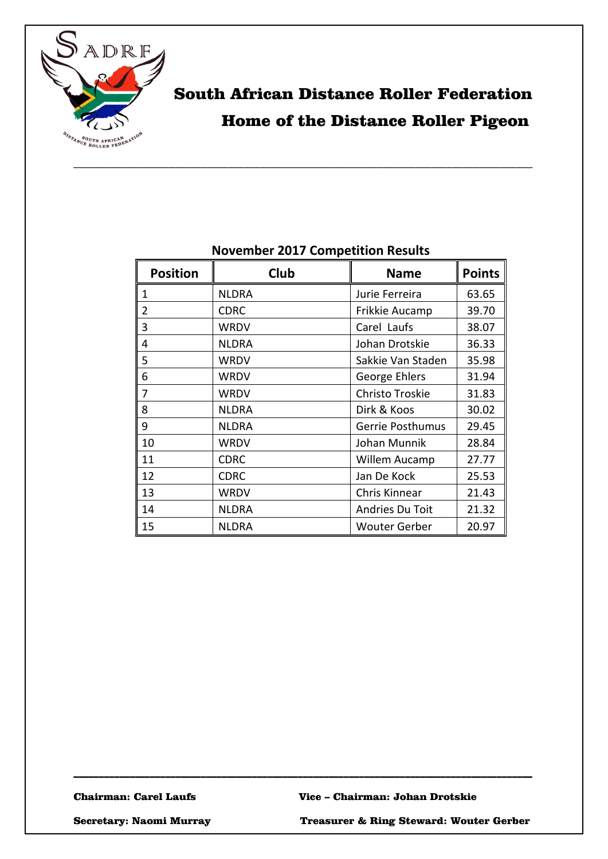

# South African Distance Roller Federation Home of the Distance Roller Pigeon

| <b>Position</b> | Club         | <b>Name</b>          | <b>Points</b> |
|-----------------|--------------|----------------------|---------------|
| 1               | <b>NLDRA</b> | Jurie Ferreira       | 63.65         |
| 2               | <b>CDRC</b>  | Frikkie Aucamp       | 39.70         |
| 3               | <b>WRDV</b>  | Carel Laufs          | 38.07         |
| 4               | <b>NLDRA</b> | Johan Drotskie       | 36.33         |
| 5               | WRDV         | Sakkie Van Staden    | 35.98         |
| 6               | WRDV         | George Ehlers        | 31.94         |
| 7               | WRDV         | Christo Troskie      | 31.83         |
| 8               | <b>NLDRA</b> | Dirk & Koos          | 30.02         |
| 9               | <b>NLDRA</b> | Gerrie Posthumus     | 29.45         |
| 10              | <b>WRDV</b>  | Johan Munnik         | 28.84         |
| 11              | <b>CDRC</b>  | Willem Aucamp        | 27.77         |
| 12              | <b>CDRC</b>  | Jan De Kock          | 25.53         |
| 13              | WRDV         | Chris Kinnear        | 21.43         |
| 14              | <b>NLDRA</b> | Andries Du Toit      | 21.32         |
| 15              | <b>NLDRA</b> | <b>Wouter Gerber</b> | 20.97         |

### **November 2017 Competition Results**

\_\_\_\_\_\_\_\_\_\_\_\_\_\_\_\_\_\_\_\_\_\_\_\_\_\_\_\_\_\_\_\_\_\_\_\_\_\_\_\_\_\_\_\_\_\_\_\_\_\_\_\_\_\_\_\_\_\_\_\_\_\_\_\_\_\_\_\_\_\_\_\_\_\_\_\_\_\_\_\_\_\_\_\_\_\_

\_\_\_\_\_\_\_\_\_\_\_\_\_\_\_\_\_\_\_\_\_\_\_\_\_\_\_\_\_\_\_\_\_\_\_\_\_\_\_\_\_\_\_\_\_\_\_\_\_\_\_\_\_\_\_\_\_\_\_\_\_\_\_\_\_\_\_\_\_\_\_\_\_\_\_\_\_\_\_\_\_\_\_\_\_\_\_\_\_\_

Secretary: Naomi Murray Treasurer & Ring Steward: Wouter Gerber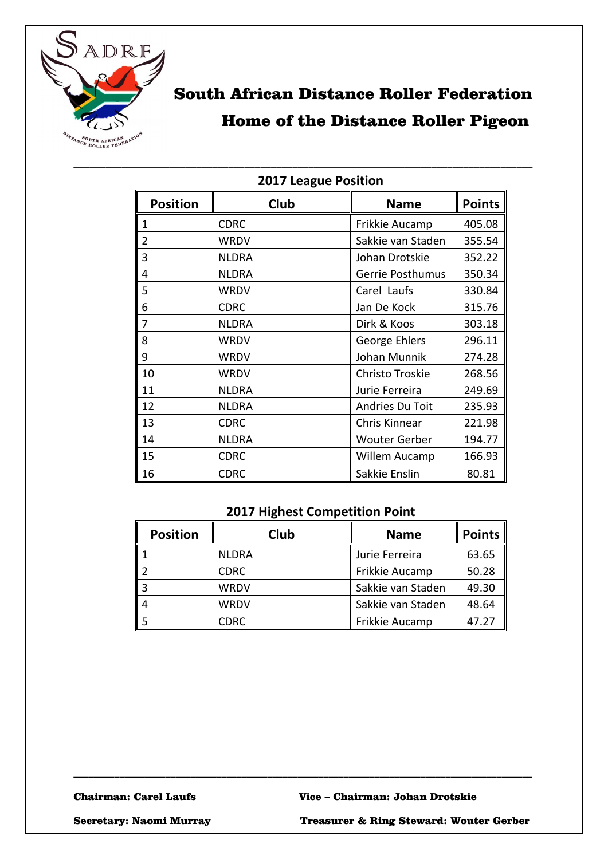

# South African Distance Roller Federation Home of the Distance Roller Pigeon

| <b>LUIT LEAGUE L'ASILIAII</b> |              |                      |               |
|-------------------------------|--------------|----------------------|---------------|
| <b>Position</b>               | Club         | <b>Name</b>          | <b>Points</b> |
| 1                             | <b>CDRC</b>  | Frikkie Aucamp       | 405.08        |
| 2                             | <b>WRDV</b>  | Sakkie van Staden    | 355.54        |
| 3                             | <b>NLDRA</b> | Johan Drotskie       | 352.22        |
| 4                             | <b>NLDRA</b> | Gerrie Posthumus     | 350.34        |
| 5                             | <b>WRDV</b>  | Carel Laufs          | 330.84        |
| 6                             | <b>CDRC</b>  | Jan De Kock          | 315.76        |
| 7                             | <b>NLDRA</b> | Dirk & Koos          | 303.18        |
| 8                             | <b>WRDV</b>  | George Ehlers        | 296.11        |
| 9                             | <b>WRDV</b>  | Johan Munnik         | 274.28        |
| 10                            | <b>WRDV</b>  | Christo Troskie      | 268.56        |
| 11                            | <b>NLDRA</b> | Jurie Ferreira       | 249.69        |
| 12                            | <b>NLDRA</b> | Andries Du Toit      | 235.93        |
| 13                            | <b>CDRC</b>  | Chris Kinnear        | 221.98        |
| 14                            | <b>NLDRA</b> | <b>Wouter Gerber</b> | 194.77        |
| 15                            | <b>CDRC</b>  | Willem Aucamp        | 166.93        |
| 16                            | <b>CDRC</b>  | Sakkie Enslin        | 80.81         |

#### **2017 League Position**

\_\_\_\_\_\_\_\_\_\_\_\_\_\_\_\_\_\_\_\_\_\_\_\_\_\_\_\_\_\_\_\_\_\_\_\_\_\_\_\_\_\_\_\_\_\_\_\_\_\_\_\_\_\_\_\_\_\_\_\_\_\_\_\_\_\_\_\_\_\_\_\_\_\_\_\_\_\_\_\_\_\_\_\_\_\_

## **2017 Highest Competition Point**

| <b>Position</b> | Club         | <b>Name</b>       | <b>Points</b> |
|-----------------|--------------|-------------------|---------------|
|                 | <b>NLDRA</b> | Jurie Ferreira    | 63.65         |
|                 | <b>CDRC</b>  | Frikkie Aucamp    | 50.28         |
|                 | <b>WRDV</b>  | Sakkie van Staden | 49.30         |
|                 | <b>WRDV</b>  | Sakkie van Staden | 48.64         |
|                 | <b>CDRC</b>  | Frikkie Aucamp    | 47.27         |

\_\_\_\_\_\_\_\_\_\_\_\_\_\_\_\_\_\_\_\_\_\_\_\_\_\_\_\_\_\_\_\_\_\_\_\_\_\_\_\_\_\_\_\_\_\_\_\_\_\_\_\_\_\_\_\_\_\_\_\_\_\_\_\_\_\_\_\_\_\_\_\_\_\_\_\_\_\_\_\_\_\_\_\_\_\_\_\_\_\_

Secretary: Naomi Murray Treasurer & Ring Steward: Wouter Gerber